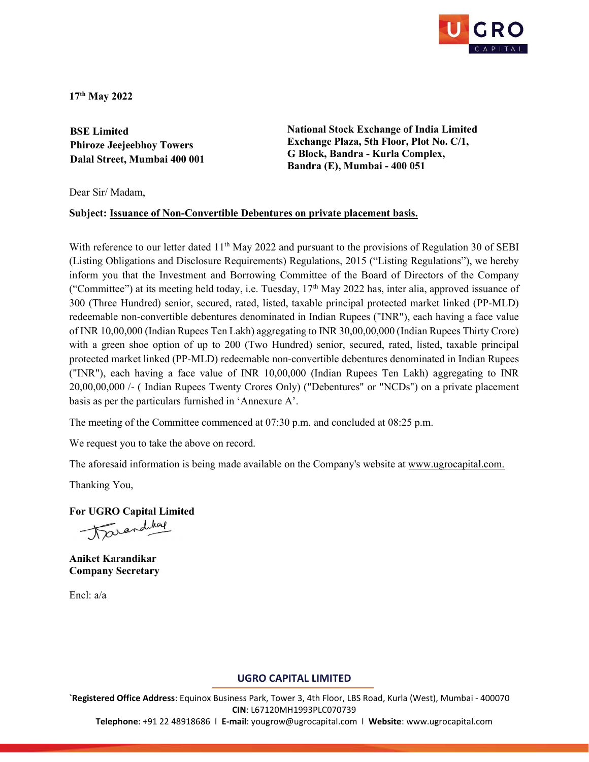

17th May 2022

BSE Limited Phiroze Jeejeebhoy Towers Dalal Street, Mumbai 400 001

National Stock Exchange of India Limited Exchange Plaza, 5th Floor, Plot No. C/1, G Block, Bandra - Kurla Complex, Bandra (E), Mumbai - 400 051

Dear Sir/ Madam,

#### Subject: Issuance of Non-Convertible Debentures on private placement basis.

With reference to our letter dated  $11<sup>th</sup>$  May 2022 and pursuant to the provisions of Regulation 30 of SEBI (Listing Obligations and Disclosure Requirements) Regulations, 2015 ("Listing Regulations"), we hereby inform you that the Investment and Borrowing Committee of the Board of Directors of the Company ("Committee") at its meeting held today, i.e. Tuesday,  $17<sup>th</sup>$  May 2022 has, inter alia, approved issuance of 300 (Three Hundred) senior, secured, rated, listed, taxable principal protected market linked (PP-MLD) redeemable non-convertible debentures denominated in Indian Rupees ("INR"), each having a face value of INR 10,00,000 (Indian Rupees Ten Lakh) aggregating to INR 30,00,00,000 (Indian Rupees Thirty Crore) with a green shoe option of up to 200 (Two Hundred) senior, secured, rated, listed, taxable principal protected market linked (PP-MLD) redeemable non-convertible debentures denominated in Indian Rupees ("INR"), each having a face value of INR 10,00,000 (Indian Rupees Ten Lakh) aggregating to INR 20,00,00,000 /- ( Indian Rupees Twenty Crores Only) ("Debentures" or "NCDs") on a private placement basis as per the particulars furnished in 'Annexure A'.

The meeting of the Committee commenced at 07:30 p.m. and concluded at 08:25 p.m.

We request you to take the above on record.

The aforesaid information is being made available on the Company's website at www.ugrocapital.com.

Thanking You,

For UGRO Capital Limited Darandshap

Aniket Karandikar Company Secretary

Encl: a/a

#### UGRO CAPITAL LIMITED

`Registered Office Address: Equinox Business Park, Tower 3, 4th Floor, LBS Road, Kurla (West), Mumbai - 400070 CIN: L67120MH1993PLC070739 Telephone: +91 22 48918686 I E-mail: yougrow@ugrocapital.com I Website: www.ugrocapital.com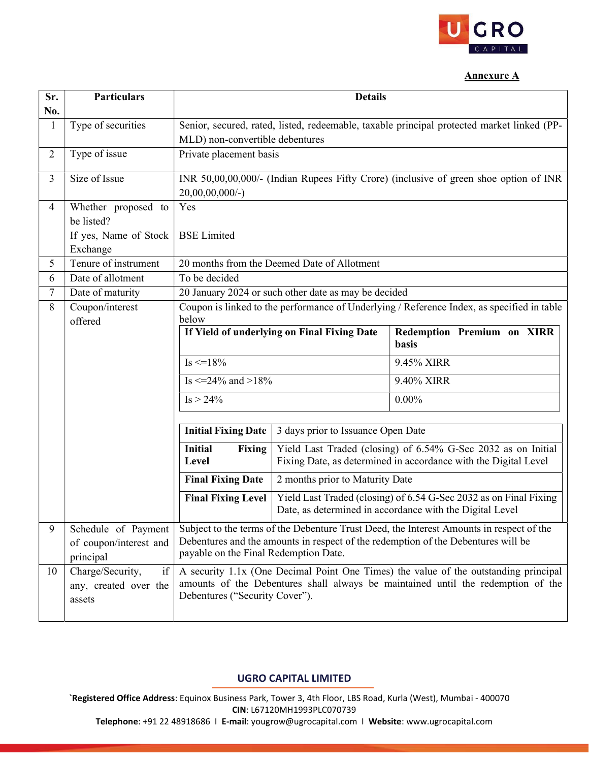

### Annexure A

| Sr.                 | <b>Particulars</b>                            | <b>Details</b>                                                                                                                                                                |                                    |                                                                                                                               |
|---------------------|-----------------------------------------------|-------------------------------------------------------------------------------------------------------------------------------------------------------------------------------|------------------------------------|-------------------------------------------------------------------------------------------------------------------------------|
| No.<br>$\mathbf{1}$ | Type of securities                            | Senior, secured, rated, listed, redeemable, taxable principal protected market linked (PP-                                                                                    |                                    |                                                                                                                               |
|                     |                                               | MLD) non-convertible debentures                                                                                                                                               |                                    |                                                                                                                               |
| $\overline{2}$      | Type of issue                                 | Private placement basis                                                                                                                                                       |                                    |                                                                                                                               |
|                     |                                               |                                                                                                                                                                               |                                    |                                                                                                                               |
| 3                   | Size of Issue                                 | INR 50,00,00,000/- (Indian Rupees Fifty Crore) (inclusive of green shoe option of INR<br>$20,00,00,000/$ -)                                                                   |                                    |                                                                                                                               |
| 4                   | Whether proposed to                           | Yes                                                                                                                                                                           |                                    |                                                                                                                               |
|                     | be listed?                                    |                                                                                                                                                                               |                                    |                                                                                                                               |
|                     | If yes, Name of Stock                         | <b>BSE</b> Limited                                                                                                                                                            |                                    |                                                                                                                               |
|                     | Exchange                                      |                                                                                                                                                                               |                                    |                                                                                                                               |
| 5                   | Tenure of instrument                          | 20 months from the Deemed Date of Allotment                                                                                                                                   |                                    |                                                                                                                               |
| 6                   | Date of allotment                             | To be decided                                                                                                                                                                 |                                    |                                                                                                                               |
| 7                   | Date of maturity                              | 20 January 2024 or such other date as may be decided                                                                                                                          |                                    |                                                                                                                               |
| 8                   | Coupon/interest                               | Coupon is linked to the performance of Underlying / Reference Index, as specified in table                                                                                    |                                    |                                                                                                                               |
|                     | offered                                       | below<br>If Yield of underlying on Final Fixing Date<br>Redemption Premium on XIRR                                                                                            |                                    |                                                                                                                               |
|                     |                                               |                                                                                                                                                                               |                                    | <b>basis</b>                                                                                                                  |
|                     |                                               | $Is < = 18\%$                                                                                                                                                                 |                                    | 9.45% XIRR                                                                                                                    |
|                     |                                               | Is $\leq$ =24% and >18%                                                                                                                                                       |                                    | 9.40% XIRR                                                                                                                    |
|                     |                                               | $Is > 24\%$                                                                                                                                                                   |                                    | $0.00\%$                                                                                                                      |
|                     |                                               |                                                                                                                                                                               |                                    |                                                                                                                               |
|                     |                                               | <b>Initial Fixing Date</b>                                                                                                                                                    | 3 days prior to Issuance Open Date |                                                                                                                               |
|                     |                                               | <b>Initial</b><br><b>Fixing</b>                                                                                                                                               |                                    | Yield Last Traded (closing) of 6.54% G-Sec 2032 as on Initial                                                                 |
|                     |                                               | Level                                                                                                                                                                         |                                    | Fixing Date, as determined in accordance with the Digital Level                                                               |
|                     |                                               | <b>Final Fixing Date</b>                                                                                                                                                      | 2 months prior to Maturity Date    |                                                                                                                               |
|                     |                                               | <b>Final Fixing Level</b>                                                                                                                                                     |                                    | Yield Last Traded (closing) of 6.54 G-Sec 2032 as on Final Fixing<br>Date, as determined in accordance with the Digital Level |
|                     |                                               |                                                                                                                                                                               |                                    |                                                                                                                               |
| 9                   | Schedule of Payment<br>of coupon/interest and | Subject to the terms of the Debenture Trust Deed, the Interest Amounts in respect of the<br>Debentures and the amounts in respect of the redemption of the Debentures will be |                                    |                                                                                                                               |
|                     | principal                                     | payable on the Final Redemption Date.                                                                                                                                         |                                    |                                                                                                                               |
| 10                  | Charge/Security,<br>if                        | A security 1.1x (One Decimal Point One Times) the value of the outstanding principal                                                                                          |                                    |                                                                                                                               |
|                     | any, created over the<br>assets               | amounts of the Debentures shall always be maintained until the redemption of the<br>Debentures ("Security Cover").                                                            |                                    |                                                                                                                               |

# UGRO CAPITAL LIMITED

`Registered Office Address: Equinox Business Park, Tower 3, 4th Floor, LBS Road, Kurla (West), Mumbai - 400070 CIN: L67120MH1993PLC070739

Telephone: +91 22 48918686 I E-mail: yougrow@ugrocapital.com I Website: www.ugrocapital.com